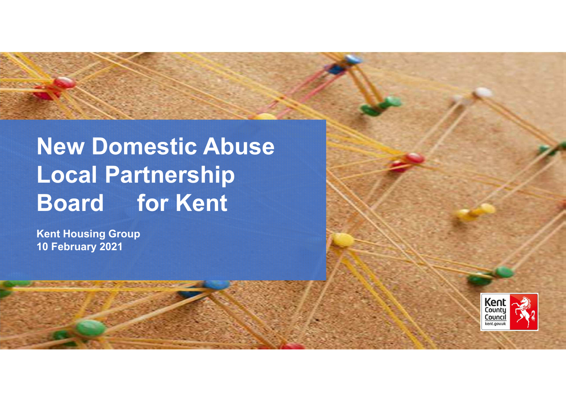# **New Domestic Abuse Local Partnership Board for Kent**

**Kent Housing Group10 February 2021**



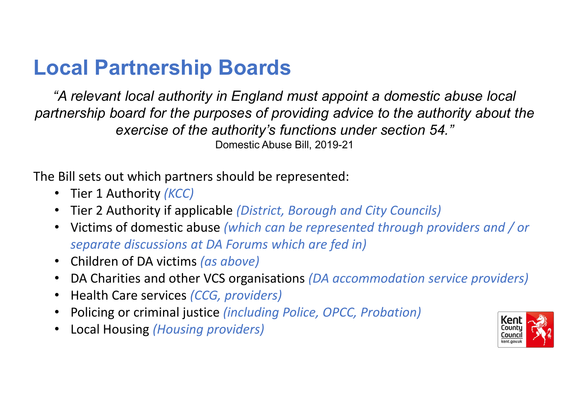# **Local Partnership Boards**

*"A relevant local authority in England must appoint a domestic abuse localpartnership board for the purposes of providing advice to the authority about the exercise of the authority's functions under section 54."*Domestic Abuse Bill, 2019-21

The Bill sets out which partners should be represented:

- Tier 1 Authority *(KCC)*
- Tier 2 Authority if applicable *(District, Borough and City Councils)*
- Victims of domestic abuse *(which can be represented through providers and / or separate discussions at DA Forums which are fed in)*
- Children of DA victims *(as above)*
- DA Charities and other VCS organisations *(DA accommodation service providers)*
- Health Care services *(CCG, providers)*
- Policing or criminal justice *(including Police, OPCC, Probation)*
- Local Housing *(Housing providers)*

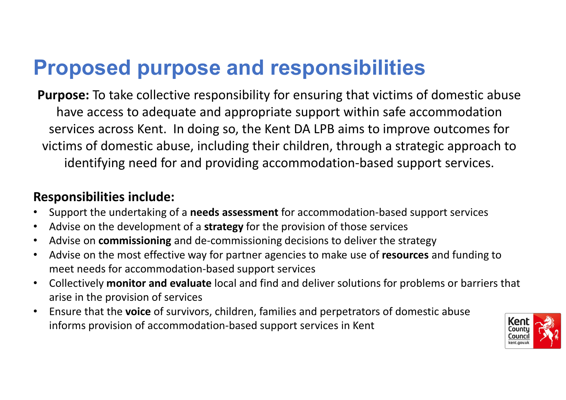# **Proposed purpose and responsibilities**

**Purpose:** To take collective responsibility for ensuring that victims of domestic abuse have access to adequate and appropriate support within safe accommodation services across Kent. In doing so, the Kent DA LPB aims to improve outcomes for victims of domestic abuse, including their children, through a strategic approach to identifying need for and providing accommodation-based support services.

#### **Responsibilities include:**

- •Support the undertaking of a **needs assessment** for accommodation-based support services
- •Advise on the development of a **strategy** for the provision of those services
- •Advise on **commissioning** and de-commissioning decisions to deliver the strategy
- • Advise on the most effective way for partner agencies to make use of **resources** and funding to meet needs for accommodation-based support services
- • Collectively **monitor and evaluate** local and find and deliver solutions for problems or barriers that arise in the provision of services
- • Ensure that the **voice** of survivors, children, families and perpetrators of domestic abuse informs provision of accommodation-based support services in Kent

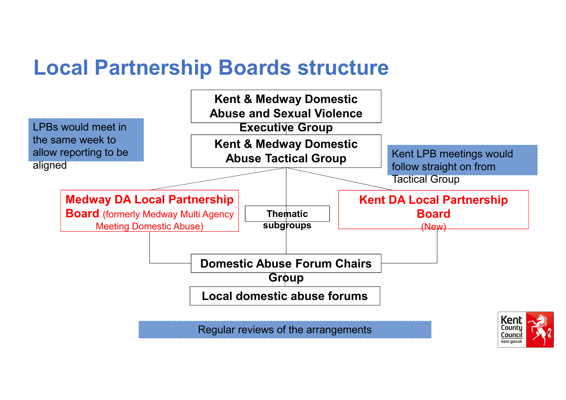# **Local Partnership Boards structure**

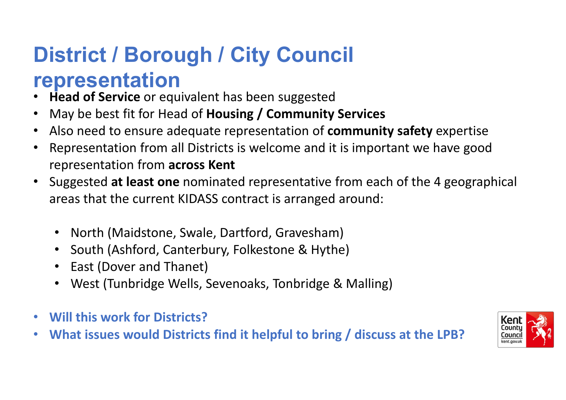# **District / Borough / City Council**

#### **representation**

- **Head of Service** or equivalent has been suggested
- May be best fit for Head of **Housing / Community Services**•
- Also need to ensure adequate representation of **community safety** expertise•
- Representation from all Districts is welcome and it is important we have good  $\bullet$ representation from **across Kent**
- • Suggested **at least one** nominated representative from each of the 4 geographical areas that the current KIDASS contract is arranged around:
	- North (Maidstone, Swale, Dartford, Gravesham)
	- South (Ashford, Canterbury, Folkestone & Hythe)
	- East (Dover and Thanet)
	- West (Tunbridge Wells, Sevenoaks, Tonbridge & Malling)
- $\bullet$ **Will this work for Districts?**
- **What issues would Districts find it helpful to bring / discuss at the LPB?**•

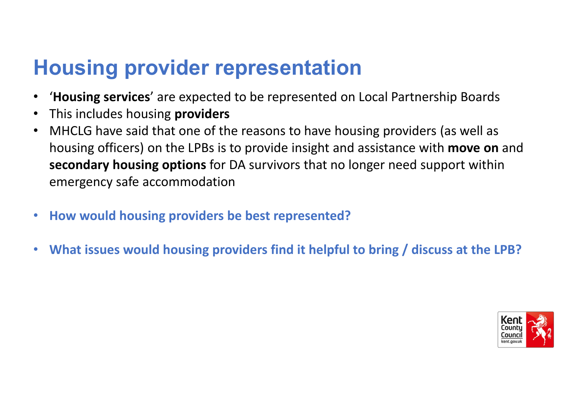# **Housing provider representation**

- •'**Housing services**' are expected to be represented on Local Partnership Boards
- •This includes housing **providers**
- MHCLG have said that one of the reasons to have housing providers (as well as •housing officers) on the LPBs is to provide insight and assistance with **move on** and **secondary housing options** for DA survivors that no longer need support withinemergency safe accommodation
- $\bullet$ **How would housing providers be best represented?**
- $\bullet$ **What issues would housing providers find it helpful to bring / discuss at the LPB?**

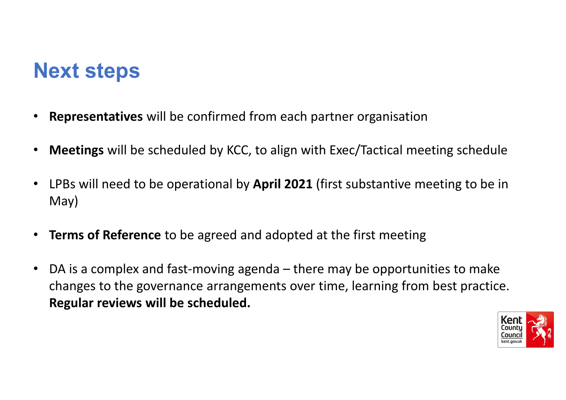# **Next steps**

- •**Representatives** will be confirmed from each partner organisation
- •**Meetings** will be scheduled by KCC, to align with Exec/Tactical meeting schedule
- • LPBs will need to be operational by **April 2021** (first substantive meeting to be in May)
- •**Terms of Reference** to be agreed and adopted at the first meeting
- • DA is a complex and fast-moving agenda – there may be opportunities to make changes to the governance arrangements over time, learning from best practice. **Regular reviews will be scheduled.**